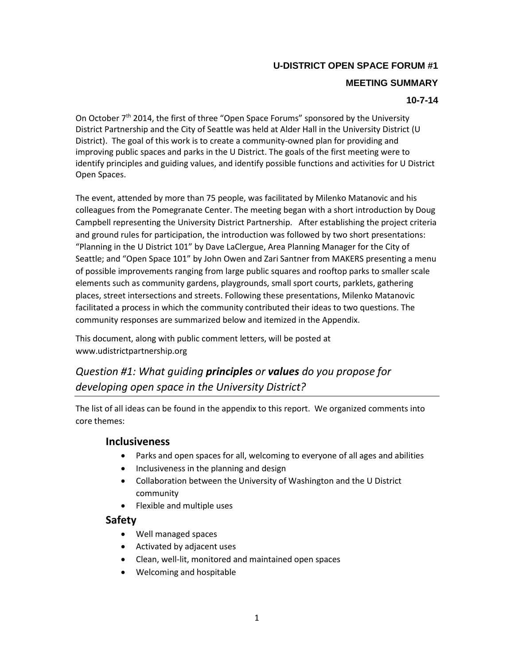### **U-DISTRICT OPEN SPACE FORUM #1**

#### **MEETING SUMMARY**

#### **10-7-14**

On October 7<sup>th</sup> 2014, the first of three "Open Space Forums" sponsored by the University District Partnership and the City of Seattle was held at Alder Hall in the University District (U District). The goal of this work is to create a community-owned plan for providing and improving public spaces and parks in the U District. The goals of the first meeting were to identify principles and guiding values, and identify possible functions and activities for U District Open Spaces.

The event, attended by more than 75 people, was facilitated by Milenko Matanovic and his colleagues from the Pomegranate Center. The meeting began with a short introduction by Doug Campbell representing the University District Partnership. After establishing the project criteria and ground rules for participation, the introduction was followed by two short presentations: "Planning in the U District 101" by Dave LaClergue, Area Planning Manager for the City of Seattle; and "Open Space 101" by John Owen and Zari Santner from MAKERS presenting a menu of possible improvements ranging from large public squares and rooftop parks to smaller scale elements such as community gardens, playgrounds, small sport courts, parklets, gathering places, street intersections and streets. Following these presentations, Milenko Matanovic facilitated a process in which the community contributed their ideas to two questions. The community responses are summarized below and itemized in the Appendix.

This document, along with public comment letters, will be posted at www.udistrictpartnership.org

## *Question #1: What guiding principles or values do you propose for developing open space in the University District?*

The list of all ideas can be found in the appendix to this report. We organized comments into core themes:

#### **Inclusiveness**

- Parks and open spaces for all, welcoming to everyone of all ages and abilities
- Inclusiveness in the planning and design
- Collaboration between the University of Washington and the U District community
- Flexible and multiple uses

### **Safety**

- Well managed spaces
- Activated by adjacent uses
- Clean, well-lit, monitored and maintained open spaces
- Welcoming and hospitable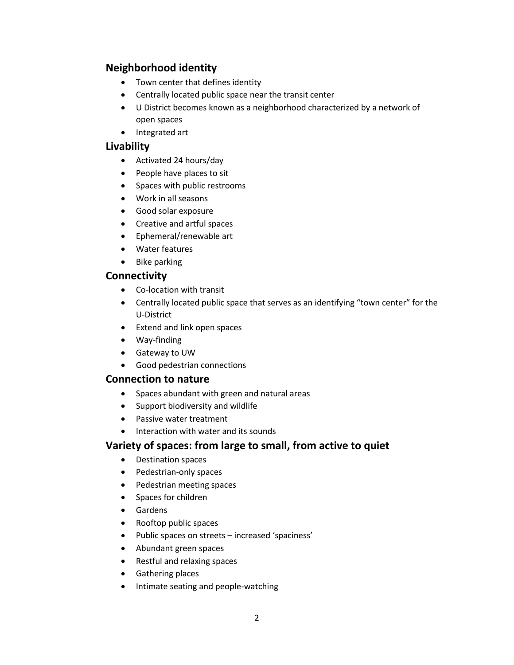### **Neighborhood identity**

- Town center that defines identity
- Centrally located public space near the transit center
- U District becomes known as a neighborhood characterized by a network of open spaces
- Integrated art

### **Livability**

- Activated 24 hours/day
- People have places to sit
- Spaces with public restrooms
- Work in all seasons
- Good solar exposure
- Creative and artful spaces
- Ephemeral/renewable art
- Water features
- Bike parking

### **Connectivity**

- Co-location with transit
- Centrally located public space that serves as an identifying "town center" for the U-District
- Extend and link open spaces
- Way-finding
- Gateway to UW
- Good pedestrian connections

### **Connection to nature**

- Spaces abundant with green and natural areas
- Support biodiversity and wildlife
- Passive water treatment
- Interaction with water and its sounds

### **Variety of spaces: from large to small, from active to quiet**

- Destination spaces
- Pedestrian-only spaces
- Pedestrian meeting spaces
- Spaces for children
- Gardens
- Rooftop public spaces
- Public spaces on streets increased 'spaciness'
- Abundant green spaces
- Restful and relaxing spaces
- **•** Gathering places
- Intimate seating and people-watching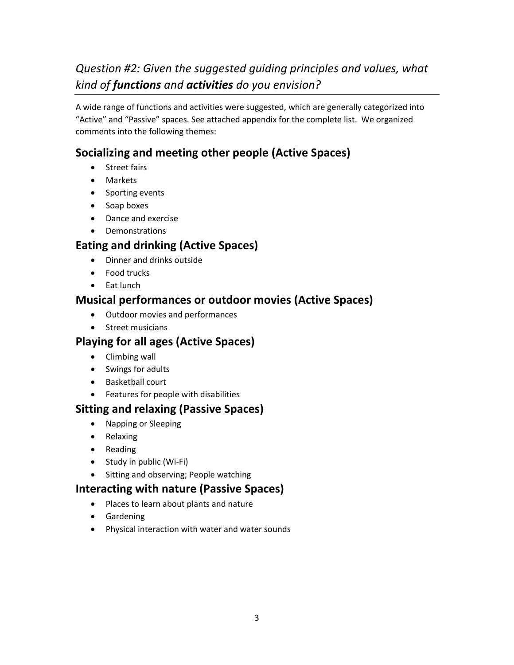# *Question #2: Given the suggested guiding principles and values, what kind of functions and activities do you envision?*

A wide range of functions and activities were suggested, which are generally categorized into "Active" and "Passive" spaces. See attached appendix for the complete list. We organized comments into the following themes:

## **Socializing and meeting other people (Active Spaces)**

- Street fairs
- Markets
- Sporting events
- Soap boxes
- Dance and exercise
- Demonstrations

## **Eating and drinking (Active Spaces)**

- Dinner and drinks outside
- Food trucks
- Eat lunch

## **Musical performances or outdoor movies (Active Spaces)**

- Outdoor movies and performances
- **•** Street musicians

## **Playing for all ages (Active Spaces)**

- Climbing wall
- Swings for adults
- Basketball court
- Features for people with disabilities

### **Sitting and relaxing (Passive Spaces)**

- Napping or Sleeping
- Relaxing
- Reading
- Study in public (Wi-Fi)
- Sitting and observing; People watching

## **Interacting with nature (Passive Spaces)**

- Places to learn about plants and nature
- **•** Gardening
- Physical interaction with water and water sounds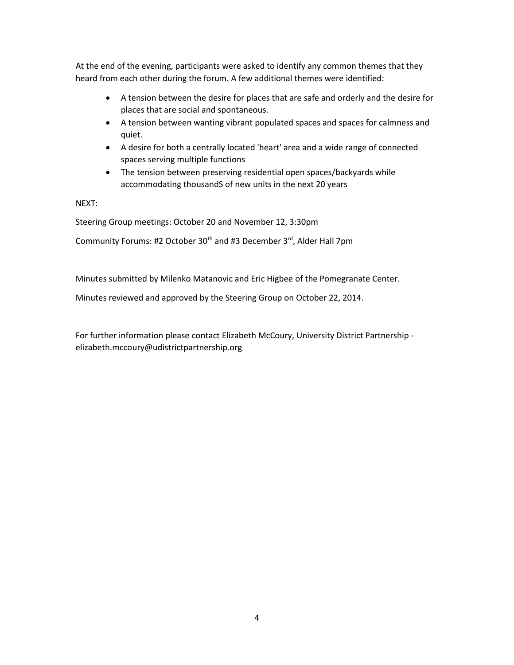At the end of the evening, participants were asked to identify any common themes that they heard from each other during the forum. A few additional themes were identified:

- A tension between the desire for places that are safe and orderly and the desire for places that are social and spontaneous.
- A tension between wanting vibrant populated spaces and spaces for calmness and quiet.
- A desire for both a centrally located 'heart' area and a wide range of connected spaces serving multiple functions
- The tension between preserving residential open spaces/backyards while accommodating thousandS of new units in the next 20 years

NEXT:

Steering Group meetings: October 20 and November 12, 3:30pm

Community Forums: #2 October 30<sup>th</sup> and #3 December 3<sup>rd</sup>, Alder Hall 7pm

Minutes submitted by Milenko Matanovic and Eric Higbee of the Pomegranate Center.

Minutes reviewed and approved by the Steering Group on October 22, 2014.

For further information please contact Elizabeth McCoury, University District Partnership elizabeth.mccoury@udistrictpartnership.org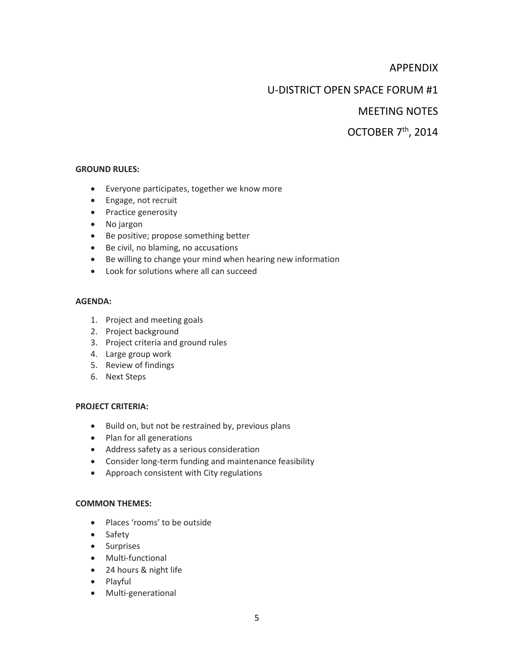### APPENDIX

### U-DISTRICT OPEN SPACE FORUM #1

### MEETING NOTES

## OCTOBER 7th, 2014

#### **GROUND RULES:**

- Everyone participates, together we know more
- Engage, not recruit
- Practice generosity
- No jargon
- Be positive; propose something better
- Be civil, no blaming, no accusations
- Be willing to change your mind when hearing new information
- Look for solutions where all can succeed

#### **AGENDA:**

- 1. Project and meeting goals
- 2. Project background
- 3. Project criteria and ground rules
- 4. Large group work
- 5. Review of findings
- 6. Next Steps

#### **PROJECT CRITERIA:**

- Build on, but not be restrained by, previous plans
- Plan for all generations
- Address safety as a serious consideration
- Consider long-term funding and maintenance feasibility
- Approach consistent with City regulations

#### **COMMON THEMES:**

- Places 'rooms' to be outside
- Safety
- Surprises
- Multi-functional
- 24 hours & night life
- Playful
- Multi-generational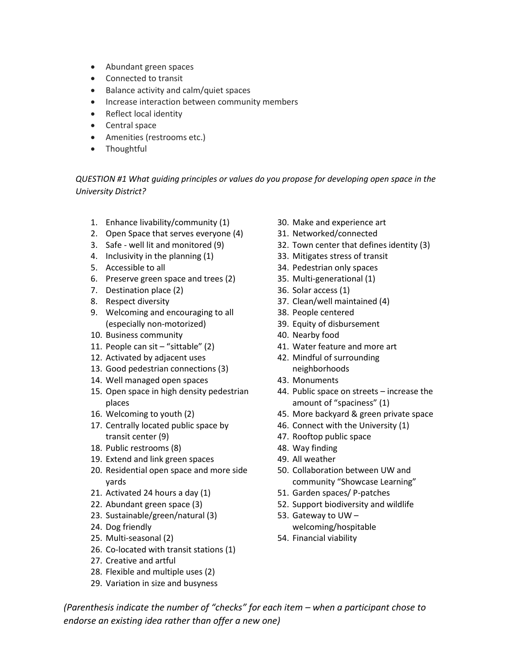- Abundant green spaces
- Connected to transit
- Balance activity and calm/quiet spaces
- Increase interaction between community members
- Reflect local identity
- Central space
- Amenities (restrooms etc.)
- Thoughtful

*QUESTION #1 What guiding principles or values do you propose for developing open space in the University District?*

- 1. Enhance livability/community (1)
- 2. Open Space that serves everyone (4)
- 3. Safe well lit and monitored (9)
- 4. Inclusivity in the planning (1)
- 5. Accessible to all
- 6. Preserve green space and trees (2)
- 7. Destination place (2)
- 8. Respect diversity
- 9. Welcoming and encouraging to all (especially non-motorized)
- 10. Business community
- 11. People can sit "sittable" (2)
- 12. Activated by adjacent uses
- 13. Good pedestrian connections (3)
- 14. Well managed open spaces
- 15. Open space in high density pedestrian places
- 16. Welcoming to youth (2)
- 17. Centrally located public space by transit center (9)
- 18. Public restrooms (8)
- 19. Extend and link green spaces
- 20. Residential open space and more side yards
- 21. Activated 24 hours a day (1)
- 22. Abundant green space (3)
- 23. Sustainable/green/natural (3)
- 24. Dog friendly
- 25. Multi-seasonal (2)
- 26. Co-located with transit stations (1)
- 27. Creative and artful
- 28. Flexible and multiple uses (2)
- 29. Variation in size and busyness
- 30. Make and experience art
- 31. Networked/connected
- 32. Town center that defines identity (3)
- 33. Mitigates stress of transit
- 34. Pedestrian only spaces
- 35. Multi-generational (1)
- 36. Solar access (1)
- 37. Clean/well maintained (4)
- 38. People centered
- 39. Equity of disbursement
- 40. Nearby food
- 41. Water feature and more art
- 42. Mindful of surrounding neighborhoods
- 43. Monuments
- 44. Public space on streets increase the amount of "spaciness" (1)
- 45. More backyard & green private space
- 46. Connect with the University (1)
- 47. Rooftop public space
- 48. Way finding
- 49. All weather
- 50. Collaboration between UW and community "Showcase Learning"
- 51. Garden spaces/ P-patches
- 52. Support biodiversity and wildlife
- 53. Gateway to UW welcoming/hospitable
- 54. Financial viability

6 *endorse an existing idea rather than offer a new one) (Parenthesis indicate the number of "checks" for each item – when a participant chose to*